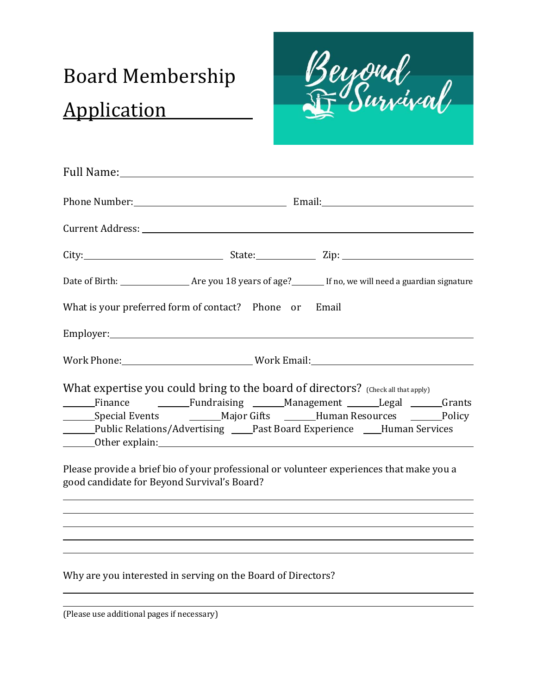# Board Membership Application

Beyord<br>Fr Survival

| What is your preferred form of contact? Phone or Email                                                                                                                                                                                                                                                                                                                      |  |  |
|-----------------------------------------------------------------------------------------------------------------------------------------------------------------------------------------------------------------------------------------------------------------------------------------------------------------------------------------------------------------------------|--|--|
|                                                                                                                                                                                                                                                                                                                                                                             |  |  |
| Work Phone: __________________________________Work Email:________________________                                                                                                                                                                                                                                                                                           |  |  |
| What expertise you could bring to the board of directors? (Check all that apply)<br>Finance <b>1988</b> Fundraising Management Legal Terrants<br>______Public Relations/Advertising ____Past Board Experience ____Human Services<br>Please provide a brief bio of your professional or volunteer experiences that make you a<br>good candidate for Beyond Survival's Board? |  |  |
|                                                                                                                                                                                                                                                                                                                                                                             |  |  |

Why are you interested in serving on the Board of Directors?

(Please use additional pages if necessary)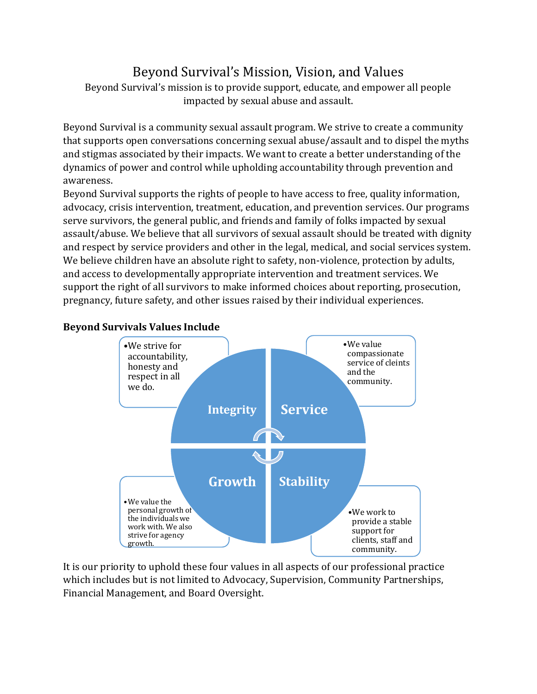## Beyond Survival's Mission, Vision, and Values

Beyond Survival's mission is to provide support, educate, and empower all people impacted by sexual abuse and assault.

Beyond Survival is a community sexual assault program. We strive to create a community that supports open conversations concerning sexual abuse/assault and to dispel the myths and stigmas associated by their impacts. We want to create a better understanding of the dynamics of power and control while upholding accountability through prevention and awareness.

Beyond Survival supports the rights of people to have access to free, quality information, advocacy, crisis intervention, treatment, education, and prevention services. Our programs serve survivors, the general public, and friends and family of folks impacted by sexual assault/abuse. We believe that all survivors of sexual assault should be treated with dignity and respect by service providers and other in the legal, medical, and social services system. We believe children have an absolute right to safety, non-violence, protection by adults, and access to developmentally appropriate intervention and treatment services. We support the right of all survivors to make informed choices about reporting, prosecution, pregnancy, future safety, and other issues raised by their individual experiences.



#### **Beyond Survivals Values Include**

It is our priority to uphold these four values in all aspects of our professional practice which includes but is not limited to Advocacy, Supervision, Community Partnerships, Financial Management, and Board Oversight.